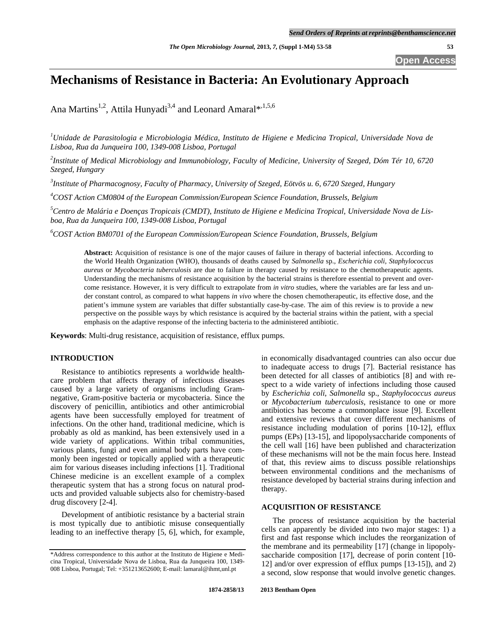# **Mechanisms of Resistance in Bacteria: An Evolutionary Approach**

Ana Martins<sup>1,2</sup>, Attila Hunyadi<sup>3,4</sup> and Leonard Amaral\*,<sup>1,5,6</sup>

<sup>1</sup>Unidade de Parasitologia e Microbiologia Médica, Instituto de Higiene e Medicina Tropical, Universidade Nova de *Lisboa, Rua da Junqueira 100, 1349-008 Lisboa, Portugal* 

*2 Institute of Medical Microbiology and Immunobiology, Faculty of Medicine, University of Szeged, Dóm Tér 10, 6720 Szeged, Hungary* 

*3 Institute of Pharmacognosy, Faculty of Pharmacy, University of Szeged, Eötvös u. 6, 6720 Szeged, Hungary* 

*4 COST Action CM0804 of the European Commission/European Science Foundation, Brussels, Belgium* 

*5 Centro de Malária e Doenças Tropicais (CMDT), Instituto de Higiene e Medicina Tropical, Universidade Nova de Lisboa, Rua da Junqueira 100, 1349-008 Lisboa, Portugal* 

*6 COST Action BM0701 of the European Commission/European Science Foundation, Brussels, Belgium* 

**Abstract:** Acquisition of resistance is one of the major causes of failure in therapy of bacterial infections. According to the World Health Organization (WHO), thousands of deaths caused by *Salmonella* sp., *Escherichia coli*, *Staphylococcus aureus* or *Mycobacteria tuberculosis* are due to failure in therapy caused by resistance to the chemotherapeutic agents. Understanding the mechanisms of resistance acquisition by the bacterial strains is therefore essential to prevent and overcome resistance. However, it is very difficult to extrapolate from *in vitro* studies, where the variables are far less and under constant control, as compared to what happens *in vivo* where the chosen chemotherapeutic, its effective dose, and the patient's immune system are variables that differ substantially case-by-case. The aim of this review is to provide a new perspective on the possible ways by which resistance is acquired by the bacterial strains within the patient, with a special emphasis on the adaptive response of the infecting bacteria to the administered antibiotic.

**Keywords**: Multi-drug resistance, acquisition of resistance, efflux pumps.

# **INTRODUCTION**

 Resistance to antibiotics represents a worldwide healthcare problem that affects therapy of infectious diseases caused by a large variety of organisms including Gramnegative, Gram-positive bacteria or mycobacteria. Since the discovery of penicillin, antibiotics and other antimicrobial agents have been successfully employed for treatment of infections. On the other hand, traditional medicine, which is probably as old as mankind, has been extensively used in a wide variety of applications. Within tribal communities, various plants, fungi and even animal body parts have commonly been ingested or topically applied with a therapeutic aim for various diseases including infections [1]. Traditional Chinese medicine is an excellent example of a complex therapeutic system that has a strong focus on natural products and provided valuable subjects also for chemistry-based drug discovery [2-4].

 Development of antibiotic resistance by a bacterial strain is most typically due to antibiotic misuse consequentially leading to an ineffective therapy [5, 6], which, for example,

in economically disadvantaged countries can also occur due to inadequate access to drugs [7]. Bacterial resistance has been detected for all classes of antibiotics [8] and with respect to a wide variety of infections including those caused by *Escherichia coli*, *Salmonella* sp., *Staphylococcus aureus* or *Mycobacterium tuberculosis*, resistance to one or more antibiotics has become a commonplace issue [9]. Excellent and extensive reviews that cover different mechanisms of resistance including modulation of porins [10-12], efflux pumps (EPs) [13-15], and lipopolysaccharide components of the cell wall [16] have been published and characterization of these mechanisms will not be the main focus here. Instead of that, this review aims to discuss possible relationships between environmental conditions and the mechanisms of resistance developed by bacterial strains during infection and therapy.

## **ACQUISITION OF RESISTANCE**

 The process of resistance acquisition by the bacterial cells can apparently be divided into two major stages: 1) a first and fast response which includes the reorganization of the membrane and its permeability [17] (change in lipopolysaccharide composition [17], decrease of porin content [10- 12] and/or over expression of efflux pumps [13-15]), and 2) a second, slow response that would involve genetic changes.

<sup>\*</sup>Address correspondence to this author at the Instituto de Higiene e Medicina Tropical, Universidade Nova de Lisboa, Rua da Junqueira 100, 1349- 008 Lisboa, Portugal; Tel: +351213652600; E-mail: lamaral@ihmt,unl.pt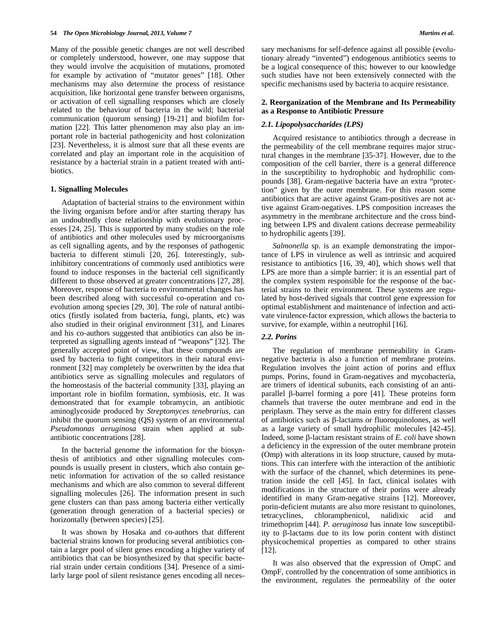Many of the possible genetic changes are not well described or completely understood, however, one may suppose that they would involve the acquisition of mutations, promoted for example by activation of "mutator genes" [18]. Other mechanisms may also determine the process of resistance acquisition, like horizontal gene transfer between organisms, or activation of cell signalling responses which are closely related to the behaviour of bacteria in the wild; bacterial communication (quorum sensing) [19-21] and biofilm formation [22]. This latter phenomenon may also play an important role in bacterial pathogenicity and host colonization [23]. Nevertheless, it is almost sure that all these events are correlated and play an important role in the acquisition of resistance by a bacterial strain in a patient treated with antibiotics.

#### **1. Signalling Molecules**

 Adaptation of bacterial strains to the environment within the living organism before and/or after starting therapy has an undoubtedly close relationship with evolutionary processes [24, 25]. This is supported by many studies on the role of antibiotics and other molecules used by microorganisms as cell signalling agents, and by the responses of pathogenic bacteria to different stimuli [20, 26]. Interestingly, subinhibitory concentrations of commonly used antibiotics were found to induce responses in the bacterial cell significantly different to those observed at greater concentrations [27, 28]. Moreover, response of bacteria to environmental changes has been described along with successful co-operation and coevolution among species [29, 30]. The role of natural antibiotics (firstly isolated from bacteria, fungi, plants, etc) was also studied in their original environment [31], and Linares and his co-authors suggested that antibiotics can also be interpreted as signalling agents instead of "weapons" [32]. The generally accepted point of view, that these compounds are used by bacteria to fight competitors in their natural environment [32] may completely be overwritten by the idea that antibiotics serve as signalling molecules and regulators of the homeostasis of the bacterial community [33], playing an important role in biofilm formation, symbiosis, etc. It was demonstrated that for example tobramycin, an antibiotic aminoglycoside produced by *Streptomyces tenebrarius*, can inhibit the quorum sensing (QS) system of an environmental *Pseudomonas aeruginosa* strain when applied at subantibiotic concentrations [28].

 In the bacterial genome the information for the biosynthesis of antibiotics and other signalling molecules compounds is usually present in clusters, which also contain genetic information for activation of the so called resistance mechanisms and which are also common to several different signalling molecules [26]. The information present in such gene clusters can than pass among bacteria either vertically (generation through generation of a bacterial species) or horizontally (between species) [25].

 It was shown by Hosaka and co-authors that different bacterial strains known for producing several antibiotics contain a larger pool of silent genes encoding a higher variety of antibiotics that can be biosynthesized by that specific bacterial strain under certain conditions [34]. Presence of a similarly large pool of silent resistance genes encoding all necessary mechanisms for self-defence against all possible (evolutionary already "invented") endogenous antibiotics seems to be a logical consequence of this; however to our knowledge such studies have not been extensively connected with the specific mechanisms used by bacteria to acquire resistance.

### **2. Reorganization of the Membrane and Its Permeability as a Response to Antibiotic Pressure**

#### *2.1. Lipopolysaccharides (LPS)*

 Acquired resistance to antibiotics through a decrease in the permeability of the cell membrane requires major structural changes in the membrane [35-37]. However, due to the composition of the cell barrier, there is a general difference in the susceptibility to hydrophobic and hydrophilic compounds [38]. Gram-negative bacteria have an extra "protection" given by the outer membrane. For this reason some antibiotics that are active against Gram-positives are not active against Gram-negatives. LPS composition increases the asymmetry in the membrane architecture and the cross binding between LPS and divalent cations decrease permeability to hydrophilic agents [39].

 *Salmonella* sp. is an example demonstrating the importance of LPS in virulence as well as intrinsic and acquired resistance to antibiotics [16, 39, 40], which shows well that LPS are more than a simple barrier: it is an essential part of the complex system responsible for the response of the bacterial strains to their environment*.* These systems are regulated by host-derived signals that control gene expression for optimal establishment and maintenance of infection and activate virulence-factor expression, which allows the bacteria to survive, for example, within a neutrophil [16].

#### *2.2. Porins*

 The regulation of membrane permeability in Gramnegative bacteria is also a function of membrane proteins. Regulation involves the joint action of porins and efflux pumps. Porins, found in Gram-negatives and mycobacteria, are trimers of identical subunits, each consisting of an antiparallel  $\beta$ -barrel forming a pore [41]. These proteins form channels that traverse the outer membrane and end in the periplasm. They serve as the main entry for different classes of antibiotics such as  $\beta$ -lactams or fluoroquinolones, as well as a large variety of small hydrophilic molecules [42-45]. Indeed, some  $\beta$ -lactam resistant strains of *E. coli* have shown a deficiency in the expression of the outer membrane protein (Omp) with alterations in its loop structure, caused by mutations. This can interfere with the interaction of the antibiotic with the surface of the channel, which determines its penetration inside the cell [45]. In fact, clinical isolates with modifications in the structure of their porins were already identified in many Gram-negative strains [12]. Moreover, porin-deficient mutants are also more resistant to quinolones, tetracyclines, chloramphenicol, nalidixic acid and trimethoprim [44]. *P. aeruginosa* has innate low susceptibility to  $\beta$ -lactams due to its low porin content with distinct physicochemical properties as compared to other strains [12].

 It was also observed that the expression of OmpC and OmpF, controlled by the concentration of some antibiotics in the environment, regulates the permeability of the outer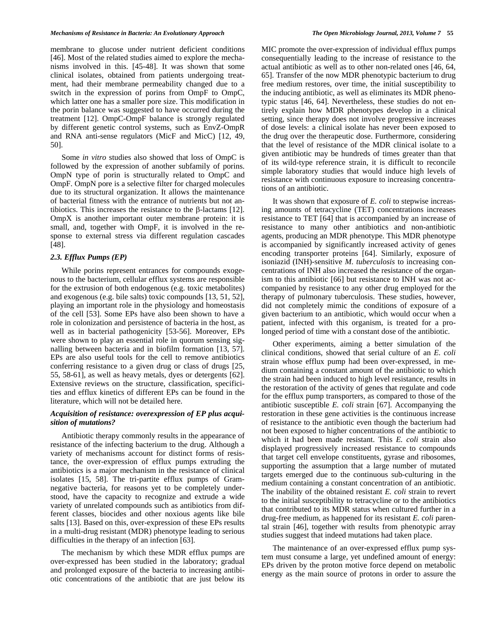membrane to glucose under nutrient deficient conditions [46]. Most of the related studies aimed to explore the mechanisms involved in this. [45-48]. It was shown that some clinical isolates, obtained from patients undergoing treatment, had their membrane permeability changed due to a switch in the expression of porins from OmpF to OmpC, which latter one has a smaller pore size. This modification in the porin balance was suggested to have occurred during the treatment [12]. OmpC-OmpF balance is strongly regulated by different genetic control systems, such as EnvZ-OmpR and RNA anti-sense regulators (MicF and MicC) [12, 49, 50].

 Some *in vitro* studies also showed that loss of OmpC is followed by the expression of another subfamily of porins. OmpN type of porin is structurally related to OmpC and OmpF. OmpN pore is a selective filter for charged molecules due to its structural organization. It allows the maintenance of bacterial fitness with the entrance of nutrients but not antibiotics. This increases the resistance to the  $\beta$ -lactams [12]. OmpX is another important outer membrane protein: it is small, and, together with OmpF, it is involved in the response to external stress via different regulation cascades [48].

# *2.3. Efflux Pumps (EP)*

 While porins represent entrances for compounds exogenous to the bacterium, cellular efflux systems are responsible for the extrusion of both endogenous (e.g. toxic metabolites) and exogenous (e.g. bile salts) toxic compounds [13, 51, 52], playing an important role in the physiology and homeostasis of the cell [53]. Some EPs have also been shown to have a role in colonization and persistence of bacteria in the host, as well as in bacterial pathogenicity [53-56]. Moreover, EPs were shown to play an essential role in quorum sensing signalling between bacteria and in biofilm formation [13, 57]. EPs are also useful tools for the cell to remove antibiotics conferring resistance to a given drug or class of drugs [25, 55, 58-61], as well as heavy metals, dyes or detergents [62]. Extensive reviews on the structure, classification, specificities and efflux kinetics of different EPs can be found in the literature, which will not be detailed here.

# *Acquisition of resistance: overexpression of EP plus acquisition of mutations?*

 Antibiotic therapy commonly results in the appearance of resistance of the infecting bacterium to the drug. Although a variety of mechanisms account for distinct forms of resistance, the over-expression of efflux pumps extruding the antibiotics is a major mechanism in the resistance of clinical isolates [15, 58]. The tri-partite efflux pumps of Gramnegative bacteria, for reasons yet to be completely understood, have the capacity to recognize and extrude a wide variety of unrelated compounds such as antibiotics from different classes, biocides and other noxious agents like bile salts [13]. Based on this, over-expression of these EPs results in a multi-drug resistant (MDR) phenotype leading to serious difficulties in the therapy of an infection [63].

 The mechanism by which these MDR efflux pumps are over-expressed has been studied in the laboratory; gradual and prolonged exposure of the bacteria to increasing antibiotic concentrations of the antibiotic that are just below its

MIC promote the over-expression of individual efflux pumps consequentially leading to the increase of resistance to the actual antibiotic as well as to other non-related ones [46, 64, 65]. Transfer of the now MDR phenotypic bacterium to drug free medium restores, over time, the initial susceptibility to the inducing antibiotic, as well as eliminates its MDR phenotypic status [46, 64]. Nevertheless, these studies do not entirely explain how MDR phenotypes develop in a clinical setting, since therapy does not involve progressive increases of dose levels: a clinical isolate has never been exposed to the drug over the therapeutic dose. Furthermore, considering that the level of resistance of the MDR clinical isolate to a given antibiotic may be hundreds of times greater than that of its wild-type reference strain, it is difficult to reconcile simple laboratory studies that would induce high levels of resistance with continuous exposure to increasing concentrations of an antibiotic.

 It was shown that exposure of *E. coli* to stepwise increasing amounts of tetracycline (TET) concentrations increases resistance to TET [64] that is accompanied by an increase of resistance to many other antibiotics and non-antibiotic agents, producing an MDR phenotype. This MDR phenotype is accompanied by significantly increased activity of genes encoding transporter proteins [64]. Similarly, exposure of isoniazid (INH)-sensitive *M. tuberculosis* to increasing concentrations of INH also increased the resistance of the organism to this antibiotic [66] but resistance to INH was not accompanied by resistance to any other drug employed for the therapy of pulmonary tuberculosis. These studies, however, did not completely mimic the conditions of exposure of a given bacterium to an antibiotic, which would occur when a patient, infected with this organism, is treated for a prolonged period of time with a constant dose of the antibiotic.

 Other experiments, aiming a better simulation of the clinical conditions, showed that serial culture of an *E. coli*  strain whose efflux pump had been over-expressed, in medium containing a constant amount of the antibiotic to which the strain had been induced to high level resistance, results in the restoration of the activity of genes that regulate and code for the efflux pump transporters, as compared to those of the antibiotic susceptible *E. coli* strain [67]. Accompanying the restoration in these gene activities is the continuous increase of resistance to the antibiotic even though the bacterium had not been exposed to higher concentrations of the antibiotic to which it had been made resistant. This *E. coli* strain also displayed progressively increased resistance to compounds that target cell envelope constituents, gyrase and ribosomes, supporting the assumption that a large number of mutated targets emerged due to the continuous sub-culturing in the medium containing a constant concentration of an antibiotic. The inability of the obtained resistant *E. coli* strain to revert to the initial susceptibility to tetracycline or to the antibiotics that contributed to its MDR status when cultured further in a drug-free medium, as happened for its resistant *E. coli* parental strain [46], together with results from phenotypic array studies suggest that indeed mutations had taken place.

 The maintenance of an over-expressed efflux pump system must consume a large, yet undefined amount of energy: EPs driven by the proton motive force depend on metabolic energy as the main source of protons in order to assure the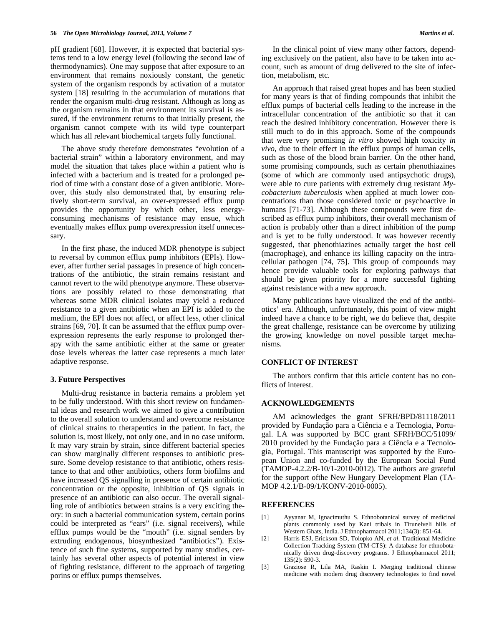pH gradient [68]. However, it is expected that bacterial systems tend to a low energy level (following the second law of thermodynamics). One may suppose that after exposure to an environment that remains noxiously constant, the genetic system of the organism responds by activation of a mutator system [18] resulting in the accumulation of mutations that render the organism multi-drug resistant. Although as long as the organism remains in that environment its survival is assured, if the environment returns to that initially present, the organism cannot compete with its wild type counterpart which has all relevant biochemical targets fully functional.

 The above study therefore demonstrates "evolution of a bacterial strain" within a laboratory environment, and may model the situation that takes place within a patient who is infected with a bacterium and is treated for a prolonged period of time with a constant dose of a given antibiotic. Moreover, this study also demonstrated that, by ensuring relatively short-term survival, an over-expressed efflux pump provides the opportunity by which other, less energyconsuming mechanisms of resistance may ensue, which eventually makes efflux pump overexpression itself unnecessary.

 In the first phase, the induced MDR phenotype is subject to reversal by common efflux pump inhibitors (EPIs). However, after further serial passages in presence of high concentrations of the antibiotic, the strain remains resistant and cannot revert to the wild phenotype anymore. These observations are possibly related to those demonstrating that whereas some MDR clinical isolates may yield a reduced resistance to a given antibiotic when an EPI is added to the medium, the EPI does not affect, or affect less, other clinical strains [69, 70]. It can be assumed that the efflux pump overexpression represents the early response to prolonged therapy with the same antibiotic either at the same or greater dose levels whereas the latter case represents a much later adaptive response.

#### **3. Future Perspectives**

 Multi-drug resistance in bacteria remains a problem yet to be fully understood. With this short review on fundamental ideas and research work we aimed to give a contribution to the overall solution to understand and overcome resistance of clinical strains to therapeutics in the patient. In fact, the solution is, most likely, not only one, and in no case uniform. It may vary strain by strain, since different bacterial species can show marginally different responses to antibiotic pressure. Some develop resistance to that antibiotic, others resistance to that and other antibiotics, others form biofilms and have increased QS signalling in presence of certain antibiotic concentration or the opposite, inhibition of QS signals in presence of an antibiotic can also occur. The overall signalling role of antibiotics between strains is a very exciting theory: in such a bacterial communication system, certain porins could be interpreted as "ears" (i.e. signal receivers), while efflux pumps would be the "mouth" (i.e. signal senders by extruding endogenous, biosynthesized "antibiotics"). Existence of such fine systems, supported by many studies, certainly has several other aspects of potential interest in view of fighting resistance, different to the approach of targeting porins or efflux pumps themselves.

 In the clinical point of view many other factors, depending exclusively on the patient, also have to be taken into account, such as amount of drug delivered to the site of infection, metabolism, etc.

 An approach that raised great hopes and has been studied for many years is that of finding compounds that inhibit the efflux pumps of bacterial cells leading to the increase in the intracellular concentration of the antibiotic so that it can reach the desired inhibitory concentration. However there is still much to do in this approach. Some of the compounds that were very promising *in vitro* showed high toxicity *in vivo*, due to their effect in the efflux pumps of human cells, such as those of the blood brain barrier. On the other hand, some promising compounds, such as certain phenothiazines (some of which are commonly used antipsychotic drugs), were able to cure patients with extremely drug resistant *Mycobacterium tuberculosis* when applied at much lower concentrations than those considered toxic or psychoactive in humans [71-73]. Although these compounds were first described as efflux pump inhibitors, their overall mechanism of action is probably other than a direct inhibition of the pump and is yet to be fully understood. It was however recently suggested, that phenothiazines actually target the host cell (macrophage), and enhance its killing capacity on the intracellular pathogen [74, 75]. This group of compounds may hence provide valuable tools for exploring pathways that should be given priority for a more successful fighting against resistance with a new approach.

 Many publications have visualized the end of the antibiotics' era. Although, unfortunately, this point of view might indeed have a chance to be right, we do believe that, despite the great challenge, resistance can be overcome by utilizing the growing knowledge on novel possible target mechanisms.

# **CONFLICT OF INTEREST**

 The authors confirm that this article content has no conflicts of interest.

### **ACKNOWLEDGEMENTS**

 AM acknowledges the grant SFRH/BPD/81118/2011 provided by Fundação para a Ciência e a Tecnologia, Portugal. LA was supported by BCC grant SFRH/BCC/51099/ 2010 provided by the Fundação para a Ciência e a Tecnologia, Portugal. This manuscript was supported by the European Union and co-funded by the European Social Fund (TAMOP-4.2.2/B-10/1-2010-0012). The authors are grateful for the support ofthe New Hungary Development Plan (TA-MOP 4.2.1/B-09/1/KONV-2010-0005).

#### **REFERENCES**

- [1] Ayyanar M, Ignacimuthu S. Ethnobotanical survey of medicinal plants commonly used by Kani tribals in Tirunelveli hills of Western Ghats, India. J Ethnopharmacol 2011;134(3): 851-64.
- [2] Harris ESJ, Erickson SD, Tolopko AN, *et al*. Traditional Medicine Collection Tracking System (TM-CTS): A database for ethnobotanically driven drug-discovery programs. J Ethnopharmacol 2011; 135(2): 590-3.
- [3] Graziose R, Lila MA, Raskin I. Merging traditional chinese medicine with modern drug discovery technologies to find novel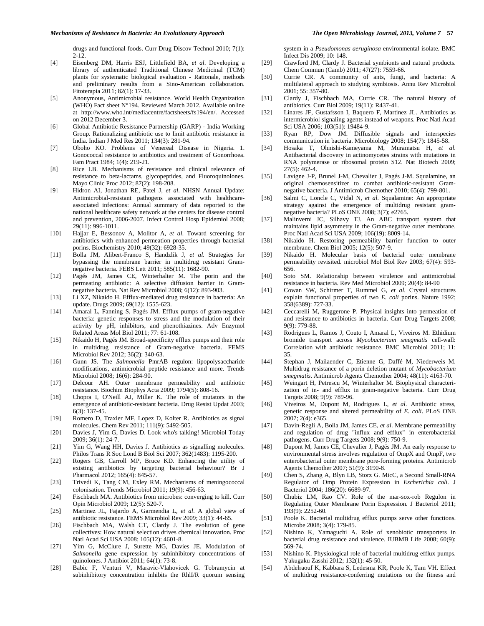drugs and functional foods. Curr Drug Discov Technol 2010; 7(1): 2-12.

- [4] Eisenberg DM, Harris ESJ, Littlefield BA, *et al*. Developing a library of authenticated Traditional Chinese Medicinal (TCM) plants for systematic biological evaluation - Rationale, methods and preliminary results from a Sino-American collaboration. Fitoterapia 2011; 82(1): 17-33.
- [5] Anonymous, Antimicrobial resistance. World Health Organization (WHO) Fact sheet N°194. Reviewed March 2012. Available online at http://www.who.int/mediacentre/factsheets/fs194/en/. Accessed on 2012 December 3.
- [6] Global Antibiotic Resistance Partnership (GARP) India Working Group. Rationalizing antibiotic use to limit antibiotic resistance in India. Indian J Med Res 2011; 134(3): 281-94.
- [7] Oboho KO. Problems of Venereal Disease in Nigeria. 1. Gonococcal resistance to antibiotics and treatment of Gonorrhoea. Fam Pract 1984; 1(4): 219-21.
- [8] Rice LB. Mechanisms of resistance and clinical relevance of resistance to beta-lactams, glycopeptides, and Fluoroquinolones. Mayo Clinic Proc 2012; 87(2): 198-208.
- [9] Hidron AI, Jonathan RE, Patel J, *et al*. NHSN Annual Update: Antimicrobial-resistant pathogens associated with healthcareassociated infections: Annual summary of data reported to the national healthcare safety network at the centers for disease control and prevention, 2006-2007. Infect Control Hosp Epidemiol 2008; 29(11): 996-1011.
- [10] Hajjar E, Bessonov A, Molitor A, *et al*. Toward screening for antibiotics with enhanced permeation properties through bacterial porins. Biochemistry 2010; 49(32): 6928-35.
- [11] Bolla JM, Alibert-Franco S, Handzlik J, *et al*. Strategies for bypassing the membrane barrier in multidrug resistant Gramnegative bacteria. FEBS Lett 2011; 585(11): 1682-90.
- [12] Pagés JM, James CE, Winterhalter M. The porin and the permeating antibiotic: A selective diffusion barrier in Gramnegative bacteria. Nat Rev Microbiol 2008; 6(12): 893-903.
- [13] Li XZ, Nikaido H. Efflux-mediated drug resistance in bacteria: An update. Drugs 2009; 69(12): 1555-623.
- [14] Amaral L, Fanning S, Pagés JM. Efflux pumps of gram-negative bacteria: genetic responses to stress and the modulation of their activity by pH, inhibitors, and phenothiazines. Adv Enzymol Related Areas Mol Biol 2011; 77: 61-108.
- [15] Nikaido H, Pagés JM. Broad-specificity efflux pumps and their role in multidrug resistance of Gram-negative bacteria. FEMS Microbiol Rev 2012; 36(2): 340-63.
- [16] Gunn JS. The *Salmonella* PmrAB regulon: lipopolysaccharide modifications, antimicrobial peptide resistance and more. Trends Microbiol 2008; 16(6): 284-90.
- [17] Delcour AH. Outer membrane permeability and antibiotic resistance. Biochim Biophys Acta 2009; 1794(5): 808-16.
- [18] Chopra I, O'Neill AJ, Miller K. The role of mutators in the emergence of antibiotic-resistant bacteria. Drug Resist Updat 2003;  $6(3)$ : 137-45.
- [19] Romero D, Traxler MF, Lopez D, Kolter R. Antibiotics as signal molecules. Chem Rev 2011; 111(9): 5492-505.
- [20] Davies J, Yim G, Davies D. Look who's talking! Microbiol Today 2009; 36(1): 24-7.
- [21] Yim G, Wang HH, Davies J. Antibiotics as signalling molecules. Philos Trans R Soc Lond B Biol Sci 2007; 362(1483): 1195-200.
- [22] Rogers GB, Carroll MP, Bruce KD. Enhancing the utility of existing antibiotics by targeting bacterial behaviour? Br J Pharmacol 2012; 165(4): 845-57.
- [23] Trivedi K, Tang CM, Exley RM. Mechanisms of meningococcal colonisation. Trends Microbiol 2011; 19(9): 456-63.
- [24] Fischbach MA. Antibiotics from microbes: converging to kill. Curr Opin Microbiol 2009; 12(5): 520-7.
- [25] Martinez JL, Fajardo A, Garmendia L, *et al*. A global view of antibiotic resistance. FEMS Microbiol Rev 2009; 33(1): 44-65.
- [26] Fischbach MA, Walsh CT, Clardy J. The evolution of gene collectives: How natural selection drives chemical innovation. Proc Natl Acad Sci USA 2008; 105(12): 4601-8.
- [27] Yim G, McClure J, Surette MG, Davies JE. Modulation of *Salmonella* gene expression by subinhibitory concentrations of quinolones. J Antibiot 2011; 64(1): 73-8.
- [28] Babic F, Venturi V, Maravic-Vlahovicek G. Tobramycin at subinhibitory concentration inhibits the RhlI/R quorum sensing

system in a *Pseudomonas aeruginosa* environmental isolate. BMC Infect Dis 2009; 10: 148.

- [29] Crawford JM, Clardy J. Bacterial symbionts and natural products. Chem Commun (Camb) 2011; 47(27): 7559-66.
- [30] Currie CR. A community of ants, fungi, and bacteria: A multilateral approach to studying symbiosis. Annu Rev Microbiol 2001; 55: 357-80.
- [31] Clardy J, Fischbach MA, Currie CR. The natural history of antibiotics. Curr Biol 2009; 19(11): R437-41.
- [32] Linares JF, Gustafsson I, Baquero F, Martinez JL. Antibiotics as intermicrobiol signaling agents instead of weapons. Proc Natl Acad Sci USA 2006; 103(51): 19484-9.
- [33] Ryan RP, Dow JM. Diffusible signals and interspecies communication in bacteria. Microbiology 2008; 154(7): 1845-58.
- [34] Hosaka T, Ohnishi-Kameyama M, Muramatsu H, *et al*. Antibacterial discovery in actinomycetes strains with mutations in RNA polymerase or ribosomal protein S12. Nat Biotech 2009; 27(5): 462-4.
- [35] Lavigne J-P, Brunel J-M, Chevalier J, Pagés J-M. Squalamine, an original chemosensitizer to combat antibiotic-resistant Gramnegative bacteria. J Antimicrob Chemother 2010; 65(4): 799-801.
- [36] Salmi C, Loncle C, Vidal N, *et al*. Squalamine: An appropriate strategy against the emergence of multidrug resistant gramnegative bacteria? PLoS ONE 2008; 3(7); e2765.
- [37] Malinverni JC, Silhavy TJ. An ABC transport system that maintains lipid asymmetry in the Gram-negative outer membrane. Proc Natl Acad Sci USA 2009; 106(19): 8009-14.
- [38] Nikaido H. Restoring permeability barrier function to outer membrane. Chem Biol 2005; 12(5): 507-9.
- [39] Nikaido H. Molecular basis of bacterial outer membrane permeability revisited. microbiol Mol Biol Rev 2003; 67(4): 593- 656.
- [40] Soto SM. Relationship between virulence and antimicrobial resistance in bacteria. Rev Med Microbiol 2009; 20(4): 84-90
- [41] Cowan SW, Schirmer T, Rummel G, *et al*. Crystal structures explain functional properties of two *E. coli* porins. Nature 1992; 358(6389): 727-33.
- [42] Ceccarelli M, Ruggerone P. Physical insights into permeation of and resistance to antibiotics in bacteria. Curr Drug Targets 2008; 9(9): 779-88.
- [43] Rodrigues L, Ramos J, Couto I, Amaral L, Viveiros M. Ethidium bromide transport across *Mycobacterium smegmatis* cell-wall: Correlation with antibiotic resistance. BMC Microbiol 2011; 11: 35.
- [44] Stephan J, Mailaender C, Etienne G, Daffé M, Niederweis M. Multidrug resistance of a porin deletion mutant of *Mycobacterium smegmatis*. Antimicrob Agents Chemother 2004; 48(11): 4163-70.
- [45] Weingart H, Petrescu M, Winterhalter M. Biophysical characterization of in- and efflux in gram-negative bacteria. Curr Drug Targets 2008; 9(9): 789-96.
- [46] Viveiros M, Dupont M, Rodrigues L, *et al*. Antibiotic stress, genetic response and altered permeability of *E. coli*. PLoS ONE 2007; 2(4): e365.
- [47] Davin-Regli A, Bolla JM, James CE, *et al*. Membrane permeability and regulation of drug "influx and efflux" in enterobacterial pathogens. Curr Drug Targets 2008; 9(9): 750-9.
- [48] Dupont M, James CE, Chevalier J, Pagés JM. An early response to environmental stress involves regulation of OmpX and OmpF, two enterobacterial outer membrane pore-forming proteins. Antimicrob Agents Chemother 2007; 51(9): 3190-8.
- [49] Chen S, Zhang A, Blyn LB, Storz G. MicC, a Second Small-RNA Regulator of Omp Protein Expression in *Escherichia coli*. J Bacteriol 2004; 186(20): 6689-97.
- [50] Chubiz LM, Rao CV. Role of the mar-sox-rob Regulon in Regulating Outer Membrane Porin Expression. J Bacteriol 2011; 193(9): 2252-60.
- [51] Poole K. Bacterial multidrug efflux pumps serve other functions. Microbe 2008; 3(4): 179-85.
- [52] Nishino K, Yamaguchi A. Role of xenobiotic transporters in bacterial drug resistance and virulence. IUBMB Life 2008; 60(9): 569-74.
- [53] Nishino K. Physiological role of bacterial multidrug efflux pumps. Yakugaku Zasshi 2012; 132(1): 45-50.
- [54] Abdelraouf K, Kabbara S, Ledesma KR, Poole K, Tam VH. Effect of multidrug resistance-conferring mutations on the fitness and